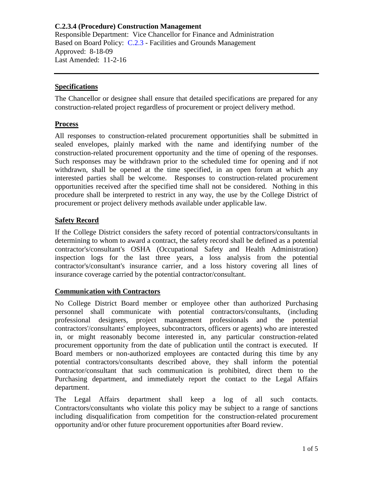Responsible Department: Vice Chancellor for Finance and Administration Based on Board Policy: [C.2.3](https://www.alamo.edu/siteassets/district/about-us/leadership/board-of-trustees/policies-pdfs/section-c/c.2.3-policy.pdf) - Facilities and Grounds Management Approved: 8-18-09 Last Amended: 11-2-16

### **Specifications**

The Chancellor or designee shall ensure that detailed specifications are prepared for any construction-related project regardless of procurement or project delivery method.

#### **Process**

All responses to construction-related procurement opportunities shall be submitted in sealed envelopes, plainly marked with the name and identifying number of the construction-related procurement opportunity and the time of opening of the responses. Such responses may be withdrawn prior to the scheduled time for opening and if not withdrawn, shall be opened at the time specified, in an open forum at which any interested parties shall be welcome. Responses to construction-related procurement opportunities received after the specified time shall not be considered. Nothing in this procedure shall be interpreted to restrict in any way, the use by the College District of procurement or project delivery methods available under applicable law.

### **Safety Record**

If the College District considers the safety record of potential contractors/consultants in determining to whom to award a contract, the safety record shall be defined as a potential contractor's/consultant's OSHA (Occupational Safety and Health Administration) inspection logs for the last three years, a loss analysis from the potential contractor's/consultant's insurance carrier, and a loss history covering all lines of insurance coverage carried by the potential contractor/consultant.

### **Communication with Contractors**

No College District Board member or employee other than authorized Purchasing personnel shall communicate with potential contractors/consultants, (including professional designers, project management professionals and the potential contractors'/consultants' employees, subcontractors, officers or agents) who are interested in, or might reasonably become interested in, any particular construction-related procurement opportunity from the date of publication until the contract is executed. If Board members or non-authorized employees are contacted during this time by any potential contractors/consultants described above, they shall inform the potential contractor/consultant that such communication is prohibited, direct them to the Purchasing department, and immediately report the contact to the Legal Affairs department.

The Legal Affairs department shall keep a log of all such contacts. Contractors/consultants who violate this policy may be subject to a range of sanctions including disqualification from competition for the construction-related procurement opportunity and/or other future procurement opportunities after Board review.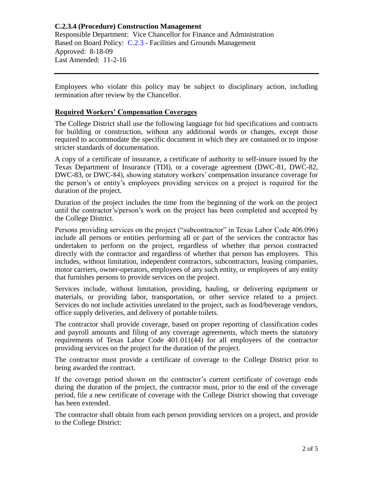# **C.2.3.4 (Procedure) Construction Management** Responsible Department: Vice Chancellor for Finance and Administration Based on Board Policy: [C.2.3](https://www.alamo.edu/siteassets/district/about-us/leadership/board-of-trustees/policies-pdfs/section-c/c.2.3-policy.pdf) - Facilities and Grounds Management Approved: 8-18-09 Last Amended: 11-2-16

Employees who violate this policy may be subject to disciplinary action, including termination after review by the Chancellor.

### **Required Workers' Compensation Coverages**

The College District shall use the following language for bid specifications and contracts for building or construction, without any additional words or changes, except those required to accommodate the specific document in which they are contained or to impose stricter standards of documentation.

A copy of a certificate of insurance, a certificate of authority to self-insure issued by the Texas Department of Insurance (TDI), or a coverage agreement (DWC-81, DWC-82, DWC-83, or DWC-84), showing statutory workers' compensation insurance coverage for the person's or entity's employees providing services on a project is required for the duration of the project.

Duration of the project includes the time from the beginning of the work on the project until the contractor's/person's work on the project has been completed and accepted by the College District.

Persons providing services on the project ("subcontractor" in Texas Labor Code 406.096) include all persons or entities performing all or part of the services the contractor has undertaken to perform on the project, regardless of whether that person contracted directly with the contractor and regardless of whether that person has employees. This includes, without limitation, independent contractors, subcontractors, leasing companies, motor carriers, owner-operators, employees of any such entity, or employees of any entity that furnishes persons to provide services on the project.

Services include, without limitation, providing, hauling, or delivering equipment or materials, or providing labor, transportation, or other service related to a project. Services do not include activities unrelated to the project, such as food/beverage vendors, office supply deliveries, and delivery of portable toilets.

The contractor shall provide coverage, based on proper reporting of classification codes and payroll amounts and filing of any coverage agreements, which meets the statutory requirements of Texas Labor Code 401.011(44) for all employees of the contractor providing services on the project for the duration of the project.

The contractor must provide a certificate of coverage to the College District prior to being awarded the contract.

If the coverage period shown on the contractor's current certificate of coverage ends during the duration of the project, the contractor must, prior to the end of the coverage period, file a new certificate of coverage with the College District showing that coverage has been extended.

The contractor shall obtain from each person providing services on a project, and provide to the College District: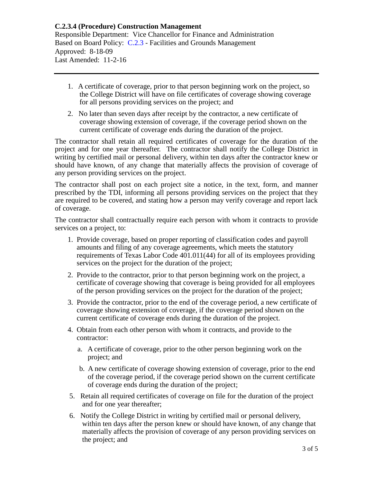Responsible Department: Vice Chancellor for Finance and Administration Based on Board Policy: [C.2.3](https://www.alamo.edu/siteassets/district/about-us/leadership/board-of-trustees/policies-pdfs/section-c/c.2.3-policy.pdf) - Facilities and Grounds Management Approved: 8-18-09 Last Amended: 11-2-16

- 1. A certificate of coverage, prior to that person beginning work on the project, so the College District will have on file certificates of coverage showing coverage for all persons providing services on the project; and
- 2. No later than seven days after receipt by the contractor, a new certificate of coverage showing extension of coverage, if the coverage period shown on the current certificate of coverage ends during the duration of the project.

The contractor shall retain all required certificates of coverage for the duration of the project and for one year thereafter. The contractor shall notify the College District in writing by certified mail or personal delivery, within ten days after the contractor knew or should have known, of any change that materially affects the provision of coverage of any person providing services on the project.

The contractor shall post on each project site a notice, in the text, form, and manner prescribed by the TDI, informing all persons providing services on the project that they are required to be covered, and stating how a person may verify coverage and report lack of coverage.

The contractor shall contractually require each person with whom it contracts to provide services on a project, to:

- 1. Provide coverage, based on proper reporting of classification codes and payroll amounts and filing of any coverage agreements, which meets the statutory requirements of Texas Labor Code 401.011(44) for all of its employees providing services on the project for the duration of the project;
- 2. Provide to the contractor, prior to that person beginning work on the project, a certificate of coverage showing that coverage is being provided for all employees of the person providing services on the project for the duration of the project;
- 3. Provide the contractor, prior to the end of the coverage period, a new certificate of coverage showing extension of coverage, if the coverage period shown on the current certificate of coverage ends during the duration of the project.
- 4. Obtain from each other person with whom it contracts, and provide to the contractor:
	- a. A certificate of coverage, prior to the other person beginning work on the project; and
	- b. A new certificate of coverage showing extension of coverage, prior to the end of the coverage period, if the coverage period shown on the current certificate of coverage ends during the duration of the project;
- 5. Retain all required certificates of coverage on file for the duration of the project and for one year thereafter;
- 6. Notify the College District in writing by certified mail or personal delivery, within ten days after the person knew or should have known, of any change that materially affects the provision of coverage of any person providing services on the project; and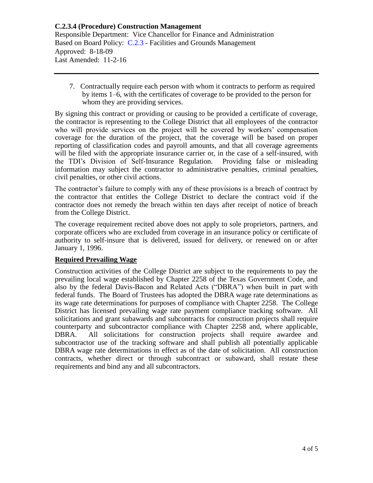Responsible Department: Vice Chancellor for Finance and Administration Based on Board Policy: [C.2.3](https://www.alamo.edu/siteassets/district/about-us/leadership/board-of-trustees/policies-pdfs/section-c/c.2.3-policy.pdf) - Facilities and Grounds Management Approved: 8-18-09 Last Amended: 11-2-16

 7. Contractually require each person with whom it contracts to perform as required by items 1–6, with the certificates of coverage to be provided to the person for whom they are providing services.

By signing this contract or providing or causing to be provided a certificate of coverage, the contractor is representing to the College District that all employees of the contractor who will provide services on the project will be covered by workers' compensation coverage for the duration of the project, that the coverage will be based on proper reporting of classification codes and payroll amounts, and that all coverage agreements will be filed with the appropriate insurance carrier or, in the case of a self-insured, with the TDI's Division of Self-Insurance Regulation. Providing false or misleading information may subject the contractor to administrative penalties, criminal penalties, civil penalties, or other civil actions.

The contractor's failure to comply with any of these provisions is a breach of contract by the contractor that entitles the College District to declare the contract void if the contractor does not remedy the breach within ten days after receipt of notice of breach from the College District.

The coverage requirement recited above does not apply to sole proprietors, partners, and corporate officers who are excluded from coverage in an insurance policy or certificate of authority to self-insure that is delivered, issued for delivery, or renewed on or after January 1, 1996.

## **Required Prevailing Wage**

Construction activities of the College District are subject to the requirements to pay the prevailing local wage established by Chapter 2258 of the Texas Government Code, and also by the federal Davis-Bacon and Related Acts ("DBRA") when built in part with federal funds. The Board of Trustees has adopted the DBRA wage rate determinations as its wage rate determinations for purposes of compliance with Chapter 2258. The College District has licensed prevailing wage rate payment compliance tracking software. All solicitations and grant subawards and subcontracts for construction projects shall require counterparty and subcontractor compliance with Chapter 2258 and, where applicable, DBRA. All solicitations for construction projects shall require awardee and subcontractor use of the tracking software and shall publish all potentially applicable DBRA wage rate determinations in effect as of the date of solicitation. All construction contracts, whether direct or through subcontract or subaward, shall restate these requirements and bind any and all subcontractors.